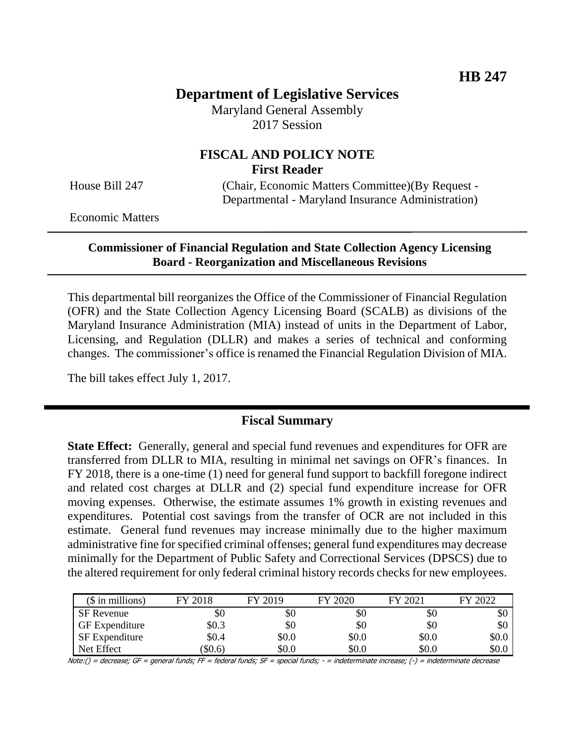# **Department of Legislative Services**

Maryland General Assembly 2017 Session

## **FISCAL AND POLICY NOTE First Reader**

House Bill 247 (Chair, Economic Matters Committee)(By Request - Departmental - Maryland Insurance Administration)

Economic Matters

#### **Commissioner of Financial Regulation and State Collection Agency Licensing Board - Reorganization and Miscellaneous Revisions**

This departmental bill reorganizes the Office of the Commissioner of Financial Regulation (OFR) and the State Collection Agency Licensing Board (SCALB) as divisions of the Maryland Insurance Administration (MIA) instead of units in the Department of Labor, Licensing, and Regulation (DLLR) and makes a series of technical and conforming changes. The commissioner's office is renamed the Financial Regulation Division of MIA.

The bill takes effect July 1, 2017.

## **Fiscal Summary**

**State Effect:** Generally, general and special fund revenues and expenditures for OFR are transferred from DLLR to MIA, resulting in minimal net savings on OFR's finances. In FY 2018, there is a one-time (1) need for general fund support to backfill foregone indirect and related cost charges at DLLR and (2) special fund expenditure increase for OFR moving expenses. Otherwise, the estimate assumes 1% growth in existing revenues and expenditures. Potential cost savings from the transfer of OCR are not included in this estimate. General fund revenues may increase minimally due to the higher maximum administrative fine for specified criminal offenses; general fund expenditures may decrease minimally for the Department of Public Safety and Correctional Services (DPSCS) due to the altered requirement for only federal criminal history records checks for new employees.

| $($$ in millions)     | FY 2018 | FY 2019 | FY 2020 | FY 2021 | FY 2022 |
|-----------------------|---------|---------|---------|---------|---------|
| <b>SF</b> Revenue     | \$0     | \$0     | \$0     | \$0     | \$0     |
| <b>GF</b> Expenditure | \$0.3   | \$0     | \$0     | \$0     | \$0     |
| <b>SF</b> Expenditure | \$0.4   | \$0.0   | \$0.0   | \$0.0   | \$0.0   |
| Net Effect            | \$0.6   | \$0.0   | \$0.0   | \$0.0   | \$0.0   |

Note:() = decrease; GF = general funds; FF = federal funds; SF = special funds; - = indeterminate increase; (-) = indeterminate decrease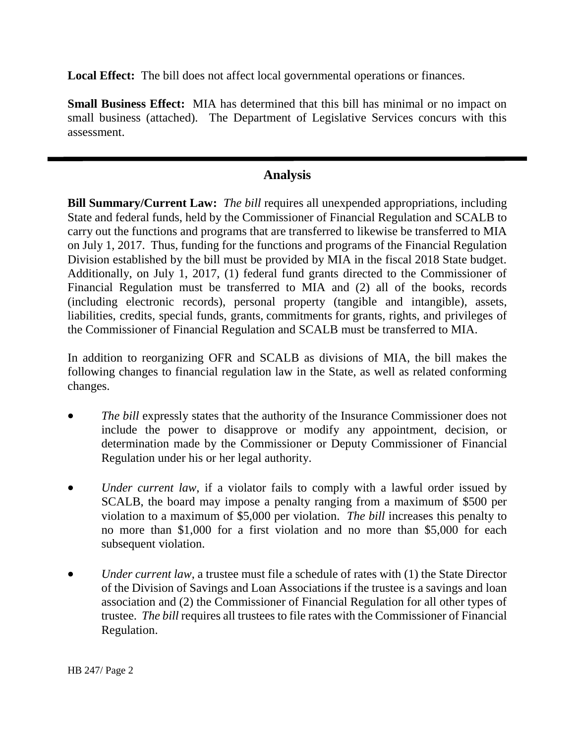**Local Effect:** The bill does not affect local governmental operations or finances.

**Small Business Effect:** MIA has determined that this bill has minimal or no impact on small business (attached). The Department of Legislative Services concurs with this assessment.

# **Analysis**

**Bill Summary/Current Law:** *The bill* requires all unexpended appropriations, including State and federal funds, held by the Commissioner of Financial Regulation and SCALB to carry out the functions and programs that are transferred to likewise be transferred to MIA on July 1, 2017. Thus, funding for the functions and programs of the Financial Regulation Division established by the bill must be provided by MIA in the fiscal 2018 State budget. Additionally, on July 1, 2017, (1) federal fund grants directed to the Commissioner of Financial Regulation must be transferred to MIA and (2) all of the books, records (including electronic records), personal property (tangible and intangible), assets, liabilities, credits, special funds, grants, commitments for grants, rights, and privileges of the Commissioner of Financial Regulation and SCALB must be transferred to MIA.

In addition to reorganizing OFR and SCALB as divisions of MIA, the bill makes the following changes to financial regulation law in the State, as well as related conforming changes.

- *The bill* expressly states that the authority of the Insurance Commissioner does not include the power to disapprove or modify any appointment, decision, or determination made by the Commissioner or Deputy Commissioner of Financial Regulation under his or her legal authority.
- *Under current law*, if a violator fails to comply with a lawful order issued by SCALB, the board may impose a penalty ranging from a maximum of \$500 per violation to a maximum of \$5,000 per violation. *The bill* increases this penalty to no more than \$1,000 for a first violation and no more than \$5,000 for each subsequent violation.
- *Under current law*, a trustee must file a schedule of rates with (1) the State Director of the Division of Savings and Loan Associations if the trustee is a savings and loan association and (2) the Commissioner of Financial Regulation for all other types of trustee. *The bill* requires all trustees to file rates with the Commissioner of Financial Regulation.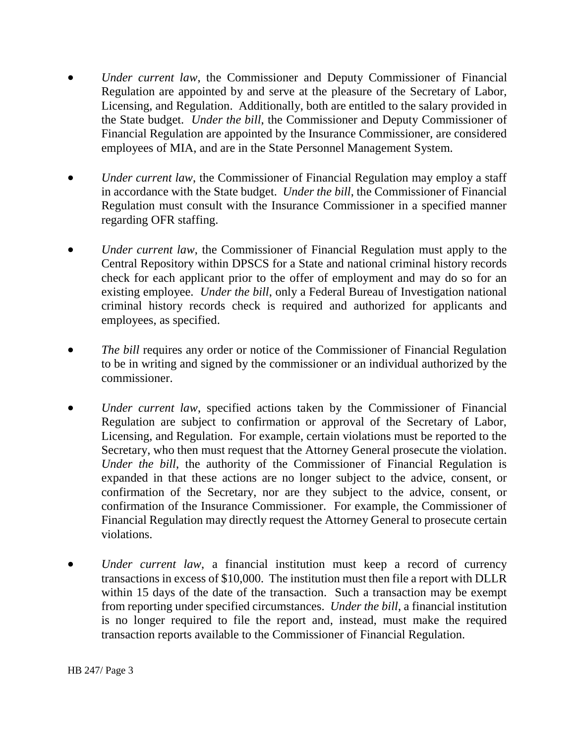- *Under current law*, the Commissioner and Deputy Commissioner of Financial Regulation are appointed by and serve at the pleasure of the Secretary of Labor, Licensing, and Regulation. Additionally, both are entitled to the salary provided in the State budget. *Under the bill*, the Commissioner and Deputy Commissioner of Financial Regulation are appointed by the Insurance Commissioner, are considered employees of MIA, and are in the State Personnel Management System.
- *Under current law*, the Commissioner of Financial Regulation may employ a staff in accordance with the State budget. *Under the bill*, the Commissioner of Financial Regulation must consult with the Insurance Commissioner in a specified manner regarding OFR staffing.
- *Under current law*, the Commissioner of Financial Regulation must apply to the Central Repository within DPSCS for a State and national criminal history records check for each applicant prior to the offer of employment and may do so for an existing employee. *Under the bill*, only a Federal Bureau of Investigation national criminal history records check is required and authorized for applicants and employees, as specified.
- *The bill* requires any order or notice of the Commissioner of Financial Regulation to be in writing and signed by the commissioner or an individual authorized by the commissioner.
- *Under current law*, specified actions taken by the Commissioner of Financial Regulation are subject to confirmation or approval of the Secretary of Labor, Licensing, and Regulation. For example, certain violations must be reported to the Secretary, who then must request that the Attorney General prosecute the violation. *Under the bill*, the authority of the Commissioner of Financial Regulation is expanded in that these actions are no longer subject to the advice, consent, or confirmation of the Secretary, nor are they subject to the advice, consent, or confirmation of the Insurance Commissioner. For example, the Commissioner of Financial Regulation may directly request the Attorney General to prosecute certain violations.
- *Under current law*, a financial institution must keep a record of currency transactions in excess of \$10,000. The institution must then file a report with DLLR within 15 days of the date of the transaction. Such a transaction may be exempt from reporting under specified circumstances. *Under the bill*, a financial institution is no longer required to file the report and, instead, must make the required transaction reports available to the Commissioner of Financial Regulation.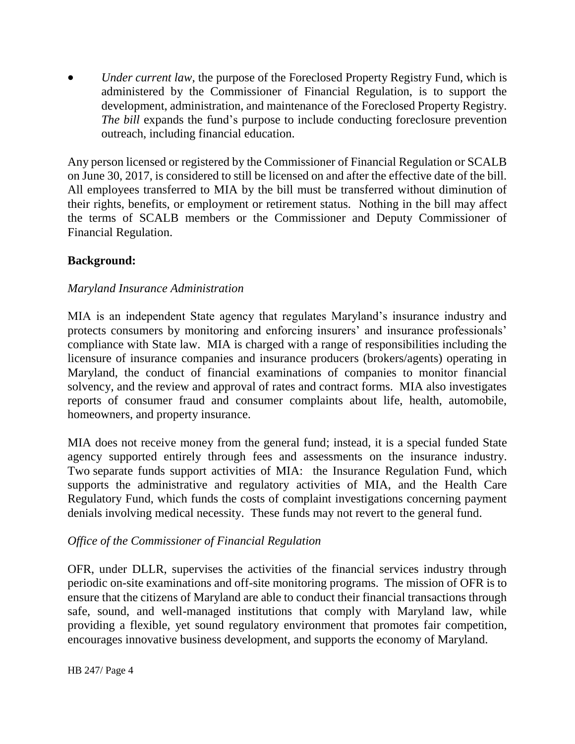*Under current law*, the purpose of the Foreclosed Property Registry Fund, which is administered by the Commissioner of Financial Regulation, is to support the development, administration, and maintenance of the Foreclosed Property Registry. *The bill* expands the fund's purpose to include conducting foreclosure prevention outreach, including financial education.

Any person licensed or registered by the Commissioner of Financial Regulation or SCALB on June 30, 2017, is considered to still be licensed on and after the effective date of the bill. All employees transferred to MIA by the bill must be transferred without diminution of their rights, benefits, or employment or retirement status. Nothing in the bill may affect the terms of SCALB members or the Commissioner and Deputy Commissioner of Financial Regulation.

### **Background:**

### *Maryland Insurance Administration*

MIA is an independent State agency that regulates Maryland's insurance industry and protects consumers by monitoring and enforcing insurers' and insurance professionals' compliance with State law. MIA is charged with a range of responsibilities including the licensure of insurance companies and insurance producers (brokers/agents) operating in Maryland, the conduct of financial examinations of companies to monitor financial solvency, and the review and approval of rates and contract forms. MIA also investigates reports of consumer fraud and consumer complaints about life, health, automobile, homeowners, and property insurance.

MIA does not receive money from the general fund; instead, it is a special funded State agency supported entirely through fees and assessments on the insurance industry. Two separate funds support activities of MIA: the Insurance Regulation Fund, which supports the administrative and regulatory activities of MIA, and the Health Care Regulatory Fund, which funds the costs of complaint investigations concerning payment denials involving medical necessity. These funds may not revert to the general fund.

### *Office of the Commissioner of Financial Regulation*

OFR, under DLLR, supervises the activities of the financial services industry through periodic on-site examinations and off-site monitoring programs. The mission of OFR is to ensure that the citizens of Maryland are able to conduct their financial transactions through safe, sound, and well-managed institutions that comply with Maryland law, while providing a flexible, yet sound regulatory environment that promotes fair competition, encourages innovative business development, and supports the economy of Maryland.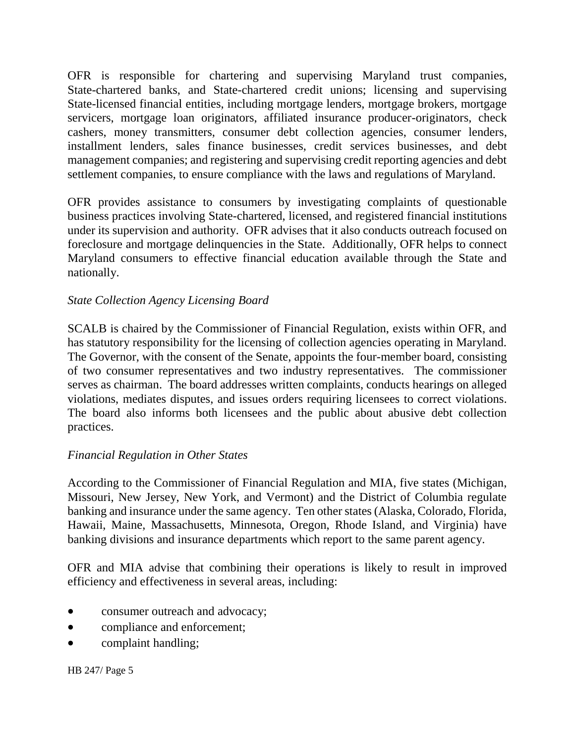OFR is responsible for chartering and supervising Maryland trust companies, State-chartered banks, and State-chartered credit unions; licensing and supervising State-licensed financial entities, including mortgage lenders, mortgage brokers, mortgage servicers, mortgage loan originators, affiliated insurance producer-originators, check cashers, money transmitters, consumer debt collection agencies, consumer lenders, installment lenders, sales finance businesses, credit services businesses, and debt management companies; and registering and supervising credit reporting agencies and debt settlement companies, to ensure compliance with the laws and regulations of Maryland.

OFR provides assistance to consumers by investigating complaints of questionable business practices involving State-chartered, licensed, and registered financial institutions under its supervision and authority. OFR advises that it also conducts outreach focused on foreclosure and mortgage delinquencies in the State. Additionally, OFR helps to connect Maryland consumers to effective financial education available through the State and nationally.

## *State Collection Agency Licensing Board*

SCALB is chaired by the Commissioner of Financial Regulation, exists within OFR, and has statutory responsibility for the licensing of collection agencies operating in Maryland. The Governor, with the consent of the Senate, appoints the four-member board, consisting of two consumer representatives and two industry representatives. The commissioner serves as chairman. The board addresses written complaints, conducts hearings on alleged violations, mediates disputes, and issues orders requiring licensees to correct violations. The board also informs both licensees and the public about abusive debt collection practices.

### *Financial Regulation in Other States*

According to the Commissioner of Financial Regulation and MIA, five states (Michigan, Missouri, New Jersey, New York, and Vermont) and the District of Columbia regulate banking and insurance under the same agency. Ten other states (Alaska, Colorado, Florida, Hawaii, Maine, Massachusetts, Minnesota, Oregon, Rhode Island, and Virginia) have banking divisions and insurance departments which report to the same parent agency.

OFR and MIA advise that combining their operations is likely to result in improved efficiency and effectiveness in several areas, including:

- consumer outreach and advocacy;
- compliance and enforcement;
- complaint handling;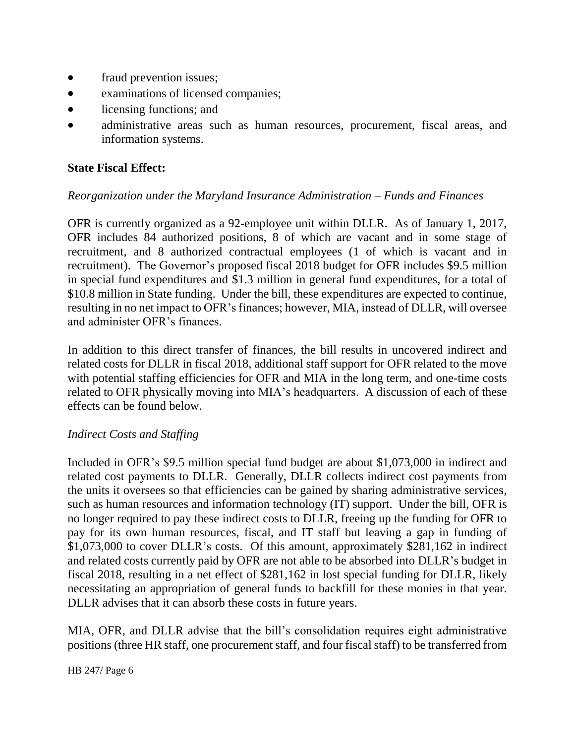- fraud prevention issues;
- examinations of licensed companies;
- licensing functions; and
- administrative areas such as human resources, procurement, fiscal areas, and information systems.

## **State Fiscal Effect:**

### *Reorganization under the Maryland Insurance Administration – Funds and Finances*

OFR is currently organized as a 92-employee unit within DLLR. As of January 1, 2017, OFR includes 84 authorized positions, 8 of which are vacant and in some stage of recruitment, and 8 authorized contractual employees (1 of which is vacant and in recruitment). The Governor's proposed fiscal 2018 budget for OFR includes \$9.5 million in special fund expenditures and \$1.3 million in general fund expenditures, for a total of \$10.8 million in State funding. Under the bill, these expenditures are expected to continue, resulting in no net impact to OFR's finances; however, MIA, instead of DLLR, will oversee and administer OFR's finances.

In addition to this direct transfer of finances, the bill results in uncovered indirect and related costs for DLLR in fiscal 2018, additional staff support for OFR related to the move with potential staffing efficiencies for OFR and MIA in the long term, and one-time costs related to OFR physically moving into MIA's headquarters. A discussion of each of these effects can be found below.

### *Indirect Costs and Staffing*

Included in OFR's \$9.5 million special fund budget are about \$1,073,000 in indirect and related cost payments to DLLR. Generally, DLLR collects indirect cost payments from the units it oversees so that efficiencies can be gained by sharing administrative services, such as human resources and information technology (IT) support. Under the bill, OFR is no longer required to pay these indirect costs to DLLR, freeing up the funding for OFR to pay for its own human resources, fiscal, and IT staff but leaving a gap in funding of \$1,073,000 to cover DLLR's costs. Of this amount, approximately \$281,162 in indirect and related costs currently paid by OFR are not able to be absorbed into DLLR's budget in fiscal 2018, resulting in a net effect of \$281,162 in lost special funding for DLLR, likely necessitating an appropriation of general funds to backfill for these monies in that year. DLLR advises that it can absorb these costs in future years.

MIA, OFR, and DLLR advise that the bill's consolidation requires eight administrative positions (three HR staff, one procurement staff, and four fiscal staff) to be transferred from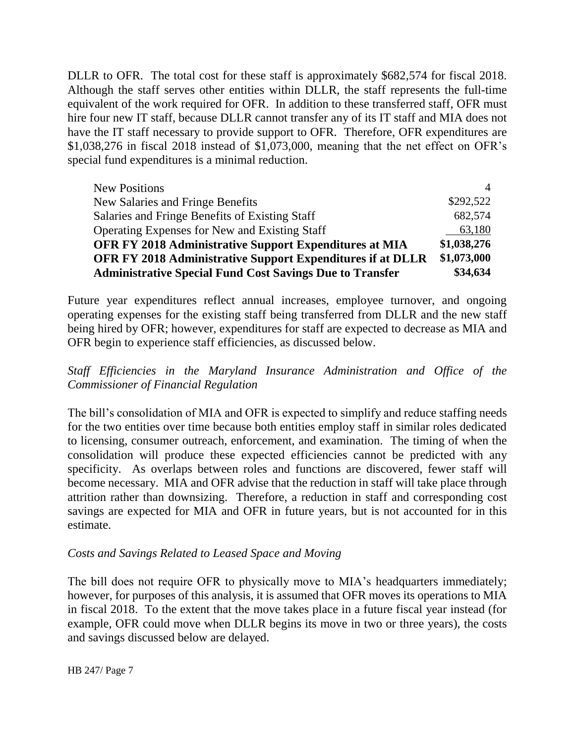DLLR to OFR. The total cost for these staff is approximately \$682,574 for fiscal 2018. Although the staff serves other entities within DLLR, the staff represents the full-time equivalent of the work required for OFR. In addition to these transferred staff, OFR must hire four new IT staff, because DLLR cannot transfer any of its IT staff and MIA does not have the IT staff necessary to provide support to OFR. Therefore, OFR expenditures are \$1,038,276 in fiscal 2018 instead of \$1,073,000, meaning that the net effect on OFR's special fund expenditures is a minimal reduction.

| <b>New Positions</b>                                              | $\overline{4}$ |
|-------------------------------------------------------------------|----------------|
| New Salaries and Fringe Benefits                                  | \$292,522      |
| Salaries and Fringe Benefits of Existing Staff                    | 682,574        |
| Operating Expenses for New and Existing Staff                     | 63,180         |
| <b>OFR FY 2018 Administrative Support Expenditures at MIA</b>     | \$1,038,276    |
| <b>OFR FY 2018 Administrative Support Expenditures if at DLLR</b> | \$1,073,000    |
| <b>Administrative Special Fund Cost Savings Due to Transfer</b>   |                |

Future year expenditures reflect annual increases, employee turnover, and ongoing operating expenses for the existing staff being transferred from DLLR and the new staff being hired by OFR; however, expenditures for staff are expected to decrease as MIA and OFR begin to experience staff efficiencies, as discussed below.

## *Staff Efficiencies in the Maryland Insurance Administration and Office of the Commissioner of Financial Regulation*

The bill's consolidation of MIA and OFR is expected to simplify and reduce staffing needs for the two entities over time because both entities employ staff in similar roles dedicated to licensing, consumer outreach, enforcement, and examination. The timing of when the consolidation will produce these expected efficiencies cannot be predicted with any specificity. As overlaps between roles and functions are discovered, fewer staff will become necessary. MIA and OFR advise that the reduction in staff will take place through attrition rather than downsizing. Therefore, a reduction in staff and corresponding cost savings are expected for MIA and OFR in future years, but is not accounted for in this estimate.

#### *Costs and Savings Related to Leased Space and Moving*

The bill does not require OFR to physically move to MIA's headquarters immediately; however, for purposes of this analysis, it is assumed that OFR moves its operations to MIA in fiscal 2018. To the extent that the move takes place in a future fiscal year instead (for example, OFR could move when DLLR begins its move in two or three years), the costs and savings discussed below are delayed.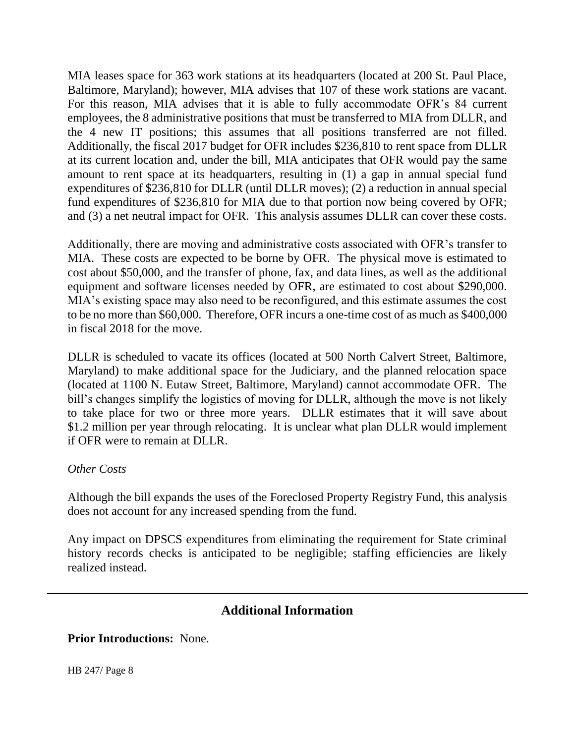MIA leases space for 363 work stations at its headquarters (located at 200 St. Paul Place, Baltimore, Maryland); however, MIA advises that 107 of these work stations are vacant. For this reason, MIA advises that it is able to fully accommodate OFR's 84 current employees, the 8 administrative positions that must be transferred to MIA from DLLR, and the 4 new IT positions; this assumes that all positions transferred are not filled. Additionally, the fiscal 2017 budget for OFR includes \$236,810 to rent space from DLLR at its current location and, under the bill, MIA anticipates that OFR would pay the same amount to rent space at its headquarters, resulting in (1) a gap in annual special fund expenditures of \$236,810 for DLLR (until DLLR moves); (2) a reduction in annual special fund expenditures of \$236,810 for MIA due to that portion now being covered by OFR; and (3) a net neutral impact for OFR. This analysis assumes DLLR can cover these costs.

Additionally, there are moving and administrative costs associated with OFR's transfer to MIA. These costs are expected to be borne by OFR. The physical move is estimated to cost about \$50,000, and the transfer of phone, fax, and data lines, as well as the additional equipment and software licenses needed by OFR, are estimated to cost about \$290,000. MIA's existing space may also need to be reconfigured, and this estimate assumes the cost to be no more than \$60,000. Therefore, OFR incurs a one-time cost of as much as \$400,000 in fiscal 2018 for the move.

DLLR is scheduled to vacate its offices (located at 500 North Calvert Street, Baltimore, Maryland) to make additional space for the Judiciary, and the planned relocation space (located at 1100 N. Eutaw Street, Baltimore, Maryland) cannot accommodate OFR. The bill's changes simplify the logistics of moving for DLLR, although the move is not likely to take place for two or three more years. DLLR estimates that it will save about \$1.2 million per year through relocating. It is unclear what plan DLLR would implement if OFR were to remain at DLLR.

#### *Other Costs*

Although the bill expands the uses of the Foreclosed Property Registry Fund, this analysis does not account for any increased spending from the fund.

Any impact on DPSCS expenditures from eliminating the requirement for State criminal history records checks is anticipated to be negligible; staffing efficiencies are likely realized instead.

# **Additional Information**

**Prior Introductions:** None.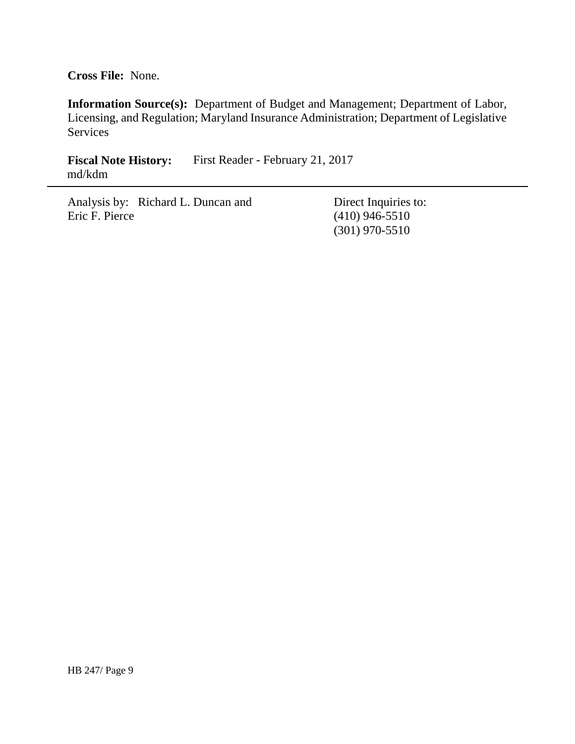**Cross File:** None.

**Information Source(s):** Department of Budget and Management; Department of Labor, Licensing, and Regulation; Maryland Insurance Administration; Department of Legislative **Services** 

Fiscal Note History: First Reader - February 21, 2017 md/kdm

Analysis by: Richard L. Duncan and Eric F. Pierce

Direct Inquiries to: (410) 946-5510 (301) 970-5510